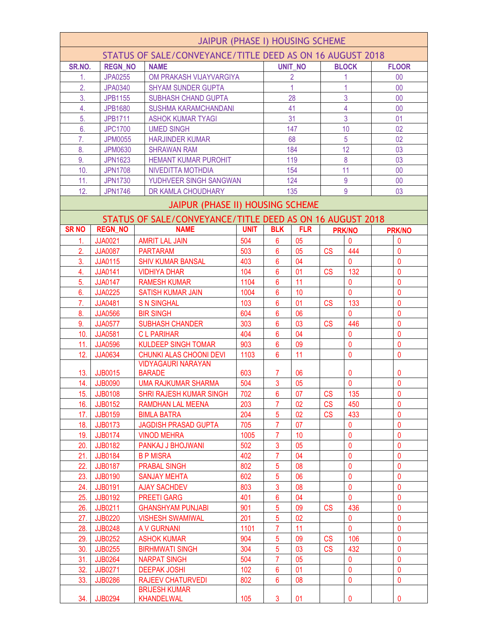| JAIPUR (PHASE I) HOUSING SCHEME                           |                |                                                           |             |                 |                |           |                              |  |                              |
|-----------------------------------------------------------|----------------|-----------------------------------------------------------|-------------|-----------------|----------------|-----------|------------------------------|--|------------------------------|
| STATUS OF SALE/CONVEYANCE/TITLE DEED AS ON 16 AUGUST 2018 |                |                                                           |             |                 |                |           |                              |  |                              |
| SR.NO.                                                    | <b>REGN NO</b> | <b>NAME</b>                                               |             |                 | <b>UNIT NO</b> |           | <b>BLOCK</b>                 |  | <b>FLOOR</b>                 |
| 1.                                                        | <b>JPA0255</b> | OM PRAKASH VIJAYVARGIYA                                   |             |                 | $\overline{2}$ |           |                              |  | 00 <sub>0</sub>              |
| $\overline{2}$ .                                          | <b>JPA0340</b> | <b>SHYAM SUNDER GUPTA</b>                                 |             |                 |                |           |                              |  | 00                           |
| 3.                                                        | <b>JPB1155</b> | <b>SUBHASH CHAND GUPTA</b>                                |             |                 | 28             |           | 3                            |  | 00                           |
| 4.                                                        | <b>JPB1680</b> | <b>SUSHMA KARAMCHANDANI</b>                               |             |                 | 41             |           | $\overline{4}$               |  | 00                           |
| 5.                                                        | <b>JPB1711</b> | <b>ASHOK KUMAR TYAGI</b>                                  |             |                 | 31             |           | 3                            |  | 01                           |
| 6.                                                        | <b>JPC1700</b> | <b>UMED SINGH</b>                                         |             |                 | 147            |           | 10                           |  | 02                           |
| 7.                                                        | <b>JPM0055</b> | <b>HARJINDER KUMAR</b>                                    |             |                 | 68             |           | 5                            |  | 02                           |
| 8.                                                        | <b>JPM0630</b> | <b>SHRAWAN RAM</b>                                        |             |                 | 184            |           | 12                           |  | 03                           |
| 9.                                                        | <b>JPN1623</b> | HEMANT KUMAR PUROHIT                                      |             |                 | 119            |           | 8                            |  | 03                           |
| 10.                                                       | <b>JPN1708</b> | NIVEDITTA MOTHDIA                                         |             |                 | 154            |           | 11                           |  | 00                           |
| 11.                                                       | <b>JPN1730</b> | YUDHVEER SINGH SANGWAN                                    |             |                 | 124            |           | 9                            |  | 00                           |
| 12.                                                       | <b>JPN1746</b> | DR KAMLA CHOUDHARY                                        |             |                 | 135            |           | 9                            |  | 03                           |
|                                                           |                | JAIPUR (PHASE II) HOUSING SCHEME                          |             |                 |                |           |                              |  |                              |
|                                                           |                | STATUS OF SALE/CONVEYANCE/TITLE DEED AS ON 16 AUGUST 2018 |             |                 |                |           |                              |  |                              |
| <b>SRNO</b>                                               | <b>REGN NO</b> | <b>NAME</b>                                               | <b>UNIT</b> | <b>BLK</b>      | <b>FLR</b>     |           | <b>PRK/NO</b>                |  | <b>PRK/NO</b>                |
| 1.                                                        | <b>JJA0021</b> | <b>AMRIT LAL JAIN</b>                                     | 504         | $6\phantom{1}6$ | 05             |           | $\Omega$                     |  | $\Omega$                     |
| 2.                                                        | <b>JJA0087</b> | <b>PARTARAM</b>                                           | 503         | 6               | 05             | <b>CS</b> | 444                          |  | $\mathbf{0}$                 |
| 3.                                                        | <b>JJA0115</b> | <b>SHIV KUMAR BANSAL</b>                                  | 403         | $6\phantom{1}6$ | 04             |           | $\mathbf 0$                  |  | $\mathbf{0}$                 |
| 4.                                                        | <b>JJA0141</b> | <b>VIDHIYA DHAR</b>                                       | 104         | 6               | 01             | <b>CS</b> | 132                          |  | $\mathbf 0$                  |
| 5.                                                        | <b>JJA0147</b> |                                                           | 1104        | $6\phantom{a}$  | 11             |           | $\mathbf 0$                  |  | $\mathbf{0}$                 |
| 6.                                                        |                | <b>RAMESH KUMAR</b>                                       |             | $6\phantom{1}6$ | 10             |           | $\mathbf{0}$                 |  | $\mathbf{0}$                 |
| 7.                                                        | <b>JJA0225</b> | <b>SATISH KUMAR JAIN</b>                                  | 1004<br>103 | 6               | 01             | <b>CS</b> | 133                          |  | $\mathbf{0}$                 |
|                                                           | <b>JJA0481</b> | <b>S N SINGHAL</b>                                        |             | $6\phantom{1}6$ |                |           |                              |  |                              |
| 8.                                                        | <b>JJA0566</b> | <b>BIR SINGH</b>                                          | 604<br>303  |                 | 06             |           | $\mathbf{0}$                 |  | $\mathbf{0}$                 |
| 9.                                                        | <b>JJA0577</b> | <b>SUBHASH CHANDER</b>                                    |             | 6               | 03             | <b>CS</b> | 446                          |  | $\mathbf{0}$<br>$\mathbf{0}$ |
| 10.                                                       | <b>JJA0581</b> | <b>CLPARIHAR</b>                                          | 404         | $6\phantom{1}6$ | 04             |           | $\mathbf{0}$                 |  |                              |
| 11.                                                       | <b>JJA0596</b> | <b>KULDEEP SINGH TOMAR</b>                                | 903         | 6               | 09<br>11       |           | $\mathbf{0}$<br>$\mathbf{0}$ |  | $\mathbf 0$<br>$\mathbf{0}$  |
| 12.                                                       | <b>JJA0634</b> | CHUNKI ALAS CHOONI DEVI<br><b>VIDYAGAURI NARAYAN</b>      | 1103        | 6               |                |           |                              |  |                              |
| 13.                                                       | <b>JJB0015</b> | <b>BARADE</b>                                             | 603         | 7               | 06             |           | 0                            |  | 0                            |
| 14.                                                       | <b>JJB0090</b> | <b>UMA RAJKUMAR SHARMA</b>                                | 504         | $\mathbf{3}$    | 05             |           | $\pmb{0}$                    |  | 0                            |
| 15.                                                       | <b>JJB0108</b> | <b>SHRI RAJESH KUMAR SINGH</b>                            | 702         | 6               | 07             | CS        | 135                          |  | $\mathbf 0$                  |
| 16.                                                       | <b>JJB0152</b> | RAMDHAN LAL MEENA                                         | 203         | 7               | 02             | <b>CS</b> | 450                          |  | $\mathbf{0}$                 |
| 17.                                                       | <b>JJB0159</b> | <b>BIMLA BATRA</b>                                        | 204         | $\overline{5}$  | 02             | CS        | 433                          |  | $\mathbf{0}$                 |
| 18.                                                       | <b>JJB0173</b> | <b>JAGDISH PRASAD GUPTA</b>                               | 705         | $\overline{7}$  | 07             |           | $\Omega$                     |  | $\mathbf{0}$                 |
| 19.                                                       | <b>JJB0174</b> | <b>VINOD MEHRA</b>                                        | 1005        | 7               | 10             |           | 0                            |  | $\mathbf 0$                  |
| 20.                                                       | <b>JJB0182</b> | PANKAJ J BHOJWANI                                         | 502         | $\mathbf{3}$    | 05             |           | $\mathbf 0$                  |  | $\mathbf 0$                  |
| 21.                                                       | <b>JJB0184</b> | <b>B P MISRA</b>                                          | 402         | $\overline{7}$  | 04             |           | $\mathbf 0$                  |  | $\mathbf 0$                  |
| 22.                                                       | <b>JJB0187</b> | <b>PRABAL SINGH</b>                                       | 802         | 5               | 08             |           | $\mathbf 0$                  |  | $\mathbf 0$                  |
| 23.                                                       | <b>JJB0190</b> | <b>SANJAY MEHTA</b>                                       | 602         | 5               | 06             |           | $\mathbf{0}$                 |  | $\Omega$                     |
| 24.                                                       | <b>JJB0191</b> | <b>AJAY SACHDEV</b>                                       | 803         | $\overline{3}$  | 08             |           | $\mathbf 0$                  |  | $\mathbf 0$                  |
| 25.                                                       | JJB0192        | <b>PREETI GARG</b>                                        | 401         | 6               | 04             |           | $\mathbf{0}$                 |  | $\mathbf{0}$                 |
| 26.                                                       | <b>JJB0211</b> | <b>GHANSHYAM PUNJABI</b>                                  | 901         | 5               | 09             | <b>CS</b> | 436                          |  | $\mathbf{0}$                 |
| 27.                                                       | <b>JJB0220</b> | <b>VISHESH SWAMIWAL</b>                                   | 201         | 5               | 02             |           | $\mathbf 0$                  |  | $\mathbf 0$                  |
| 28.                                                       | <b>JJB0248</b> | A V GURNANI                                               | 1101        | $\overline{7}$  | 11             |           | $\overline{0}$               |  | $\mathbf{0}$                 |
| 29.                                                       | <b>JJB0252</b> | <b>ASHOK KUMAR</b>                                        | 904         | 5               | 09             | <b>CS</b> | 106                          |  | 0                            |
| 30.                                                       | <b>JJB0255</b> | <b>BIRHMWATI SINGH</b>                                    | 304         | 5               | 03             | <b>CS</b> | 432                          |  | $\mathbf{0}$                 |
| 31.                                                       | <b>JJB0264</b> | <b>NARPAT SINGH</b>                                       | 504         | $\overline{7}$  | 05             |           | $\mathbf{0}$                 |  | $\mathbf{0}$                 |
| 32.                                                       | <b>JJB0271</b> | <b>DEEPAK JOSHI</b>                                       | 102         | 6               | 01             |           | $\mathbf{0}$                 |  | $\mathbf{0}$                 |
| 33.                                                       | <b>JJB0286</b> | <b>RAJEEV CHATURVEDI</b>                                  | 802         | 6               | 08             |           | $\mathbf 0$                  |  | $\mathbf 0$                  |
|                                                           |                | <b>BRIJESH KUMAR</b>                                      |             |                 |                |           |                              |  |                              |
| 34.                                                       | <b>JJB0294</b> | <b>KHANDELWAL</b>                                         | 105         | 3               | 01             |           | 0                            |  | $\mathbf{0}$                 |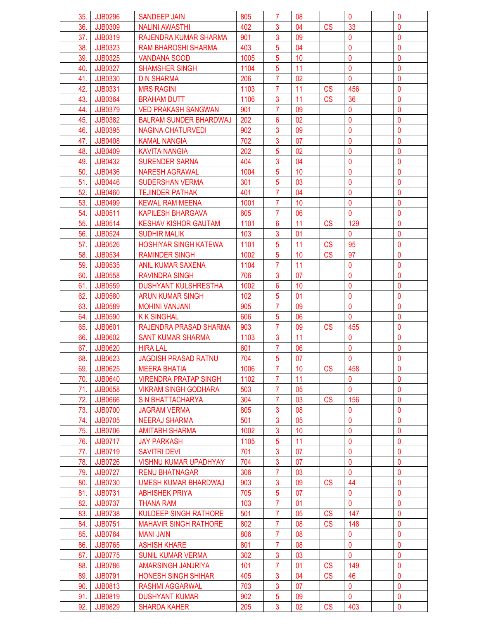| 35.        | JJB0296        | SANDEEP JAIN                  | 805  | 7              | 08 |           | $\mathbf{0}$   | 0                |
|------------|----------------|-------------------------------|------|----------------|----|-----------|----------------|------------------|
| 36.        | JJB0309        | <b>NALINI AWASTHI</b>         | 402  | 3              | 04 | <b>CS</b> | 33             | $\mathbf{0}$     |
| 37.        | JJB0319        | RAJENDRA KUMAR SHARMA         | 901  | 3              | 09 |           | 0              | $\mathbf{0}$     |
| 38.        | <b>JJB0323</b> | RAM BHAROSHI SHARMA           | 403  | 5              | 04 |           | $\mathbf{0}$   | 0                |
| 39.        | <b>JJB0325</b> | <b>VANDANA SOOD</b>           | 1005 | 5              | 10 |           | $\mathbf 0$    | $\mathbf 0$      |
| 40.        | <b>JJB0327</b> | <b>SHAMSHER SINGH</b>         | 1104 | 5              | 11 |           | $\mathbf 0$    | $\mathbf{0}$     |
| 41.        | <b>JJB0330</b> | <b>D N SHARMA</b>             | 206  | 7              | 02 |           | $\mathbf{0}$   | $\mathbf{0}$     |
| 42.        | <b>JJB0331</b> | <b>MRS RAGINI</b>             | 1103 | 7              | 11 | <b>CS</b> | 456            | $\mathbf{0}$     |
| 43.        | JJB0364        |                               | 1106 | $\mathbf{3}$   | 11 | <b>CS</b> | 36             | $\mathbf{0}$     |
|            |                | <b>BRAHAM DUTT</b>            |      | 7              |    |           | 0              | $\mathbf 0$      |
| 44.        | <b>JJB0379</b> | <b>VED PRAKASH SANGWAN</b>    | 901  |                | 09 |           |                |                  |
| 45.        | <b>JJB0382</b> | <b>BALRAM SUNDER BHARDWAJ</b> | 202  | 6              | 02 |           | $\mathbf 0$    | $\mathbf 0$      |
| 46.        | JJB0395        | NAGINA CHATURVEDI             | 902  | 3              | 09 |           | $\mathbf{0}$   | $\mathbf{0}$     |
| 47.        | <b>JJB0408</b> | <b>KAMAL NANGIA</b>           | 702  | 3              | 07 |           | $\overline{0}$ | $\mathbf{0}$     |
| 48.        | <b>JJB0409</b> | <b>KAVITA NANGIA</b>          | 202  | 5              | 02 |           | $\mathbf{0}$   | 0                |
| 49.        | <b>JJB0432</b> | <b>SURENDER SARNA</b>         | 404  | $\overline{3}$ | 04 |           | 0              | $\mathbf{0}$     |
| 50.        | <b>JJB0436</b> | <b>NARESH AGRAWAL</b>         | 1004 | 5              | 10 |           | 0              | $\mathbf{0}$     |
| 51.        | <b>JJB0446</b> | <b>SUDERSHAN VERMA</b>        | 301  | 5              | 03 |           | $\mathbf 0$    | $\mathbf 0$      |
| 52.        | JJB0460        | <b>TEJINDER PATHAK</b>        | 401  | $\overline{7}$ | 04 |           | $\mathbf 0$    | $\mathbf{0}$     |
| 53.        | JJB0499        | <b>KEWAL RAM MEENA</b>        | 1001 | 7              | 10 |           | $\mathbf{0}$   | 0                |
| 54.        | <b>JJB0511</b> | KAPILESH BHARGAVA             | 605  | 7              | 06 |           | $\mathbf{0}$   | 0                |
| 55.        | <b>JJB0514</b> | <b>KESHAV KISHOR GAUTAM</b>   | 1101 | 6              | 11 | <b>CS</b> | 129            | $\mathbf{0}$     |
| 56.        | <b>JJB0524</b> | <b>SUDHIR MALIK</b>           | 103  | 3              | 01 |           | $\mathbf{0}$   | $\mathbf{0}$     |
| 57.        | <b>JJB0526</b> | <b>HOSHIYAR SINGH KATEWA</b>  | 1101 | 5              | 11 | <b>CS</b> | 95             | 0                |
| 58.        | JJB0534        | <b>RAMINDER SINGH</b>         | 1002 | 5              | 10 | <b>CS</b> | 97             | $\mathbf 0$      |
| 59.        | <b>JJB0535</b> | ANIL KUMAR SAXENA             | 1104 | 7              | 11 |           | $\mathbf{0}$   | $\mathbf{0}$     |
| 60.        | <b>JJB0558</b> | <b>RAVINDRA SINGH</b>         | 706  | 3              | 07 |           | 0              | $\mathbf{0}$     |
| 61.        | <b>JJB0559</b> | <b>DUSHYANT KULSHRESTHA</b>   | 1002 | 6              | 10 |           | $\overline{0}$ | $\mathbf{0}$     |
| 62.        | <b>JJB0580</b> | <b>ARUN KUMAR SINGH</b>       | 102  | 5              | 01 |           | $\mathbf 0$    | 0                |
| 63.        | <b>JJB0589</b> | <b>MOHINI VANJANI</b>         | 905  | 7              | 09 |           | $\mathbf 0$    | $\mathbf 0$      |
| 64.        | <b>JJB0590</b> | <b>KK SINGHAL</b>             | 606  | 5              | 06 |           | $\mathbf{0}$   | $\mathbf{0}$     |
| 65.        | <b>JJB0601</b> | RAJENDRA PRASAD SHARMA        | 903  | 7              | 09 | <b>CS</b> | 455            | $\mathbf{0}$     |
| 66.        | <b>JJB0602</b> | <b>SANT KUMAR SHARMA</b>      | 1103 | 3              | 11 |           | 0              | $\mathbf{0}$     |
| 67.        | JJB0620        | <b>HIRA LAL</b>               | 601  | $\overline{7}$ | 06 |           | $\mathbf{0}$   | $\mathbf 0$      |
| 68.        | JJB0623        | <b>JAGDISH PRASAD RATNU</b>   | 704  | 5              | 07 |           | $\Omega$       | $\mathbf 0$      |
| 69.        | <b>JJB0625</b> | <b>MEERA BHATIA</b>           | 1006 | 7              | 10 | <b>CS</b> | 458            | $\mathbf 0$      |
| 70.        | <b>JJB0640</b> | <b>VIRENDRA PRATAP SINGH</b>  | 1102 | 7              | 11 |           | $\mathbf{0}$   | $\mathbf{0}$     |
| 71.        | <b>JJB0658</b> | <b>VIKRAM SINGH GODHARA</b>   | 503  | 7              | 05 |           | $\mathbf{0}$   | $\mathbf{0}$     |
|            | <b>JJB0666</b> | S N BHATTACHARYA              | 304  | 7              | 03 |           | 156            | 0                |
| 72.<br>73. | <b>JJB0700</b> | <b>JAGRAM VERMA</b>           | 805  | $\mathbf{3}$   | 08 | <b>CS</b> | 0              | $\mathbf{0}$     |
|            | <b>JJB0705</b> |                               | 501  | 3              |    |           | $\mathbf 0$    |                  |
| 74.        |                | <b>NEERAJ SHARMA</b>          |      | 3              | 05 |           | $\mathbf 0$    | 0<br>$\mathbf 0$ |
| 75.        | <b>JJB0706</b> | <b>AMITABH SHARMA</b>         | 1002 |                | 10 |           |                |                  |
| 76.        | <b>JJB0717</b> | <b>JAY PARKASH</b>            | 1105 | 5              | 11 |           | $\mathbf 0$    | $\mathbf{0}$     |
| 77.        | <b>JJB0719</b> | SAVITRI DEVI                  | 701  | 3              | 07 |           | 0              | $\mathbf 0$      |
| 78.        | <b>JJB0726</b> | <b>VISHNU KUMAR UPADHYAY</b>  | 704  | 3              | 07 |           | $\mathbf{0}$   | $\mathbf{0}$     |
| 79.        | <b>JJB0727</b> | <b>RENU BHATNAGAR</b>         | 306  | $\overline{7}$ | 03 |           | $\mathbf{0}$   | $\mathbf{0}$     |
| 80.        | <b>JJB0730</b> | UMESH KUMAR BHARDWAJ          | 903  | 3              | 09 | <b>CS</b> | 44             | $\mathbf{0}$     |
| 81.        | <b>JJB0731</b> | <b>ABHISHEK PRIYA</b>         | 705  | 5              | 07 |           | $\mathbf 0$    | 0                |
| 82.        | <b>JJB0737</b> | THANA RAM                     | 103  | 7              | 01 |           | $\mathbf{0}$   | $\mathbf 0$      |
| 83.        | <b>JJB0738</b> | <b>KULDEEP SINGH RATHORE</b>  | 501  | 7              | 05 | <b>CS</b> | 147            | $\mathbf 0$      |
| 84.        | <b>JJB0751</b> | <b>MAHAVIR SINGH RATHORE</b>  | 802  | 7              | 08 | CS        | 148            | $\mathbf 0$      |
| 85.        | <b>JJB0764</b> | <b>MANI JAIN</b>              | 806  | $\overline{7}$ | 08 |           | $\mathbf{0}$   | $\mathbf{0}$     |
| 86.        | <b>JJB0765</b> | <b>ASHISH KHARE</b>           | 801  | 7              | 08 |           | $\mathbf 0$    | 0                |
| 87.        | <b>JJB0775</b> | <b>SUNIL KUMAR VERMA</b>      | 302  | $\mathbf{3}$   | 03 |           | $\mathbf{0}$   | $\mathbf 0$      |
| 88.        | <b>JJB0786</b> | AMARSINGH JANJRIYA            | 101  | $\overline{7}$ | 01 | <b>CS</b> | 149            | $\mathbf 0$      |
| 89.        | <b>JJB0791</b> | <b>HONESH SINGH SHIHAR</b>    | 405  | 3              | 04 | <b>CS</b> | 46             | $\mathbf{0}$     |
| 90.        | <b>JJB0813</b> | <b>RASHMI AGGARWAL</b>        | 703  | 3              | 07 |           | $\mathbf{0}$   | $\mathbf{0}$     |
| 91.        | <b>JJB0819</b> | <b>DUSHYANT KUMAR</b>         | 902  | 5              | 09 |           | $\mathbf{0}$   | $\mathbf 0$      |
| 92.        | <b>JJB0829</b> | <b>SHARDA KAHER</b>           | 205  | $\overline{3}$ | 02 | CS        | 403            | $\mathbf 0$      |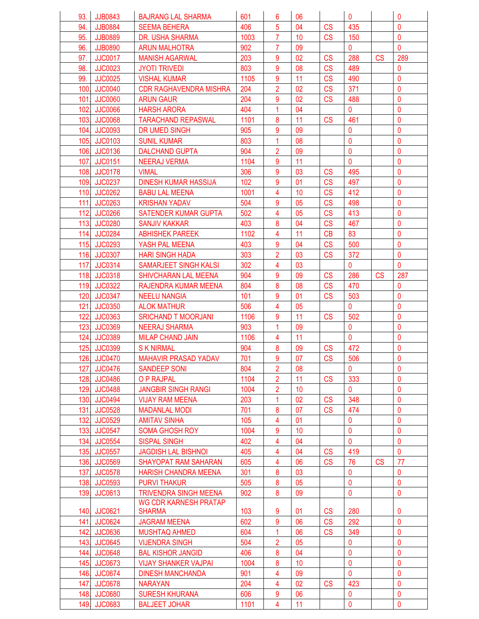| 93.  | <b>JJB0843</b> | <b>BAJRANG LAL SHARMA</b>     | 601  | 6              | 06 |           | $\mathbf 0$    |           | 0            |
|------|----------------|-------------------------------|------|----------------|----|-----------|----------------|-----------|--------------|
| 94.  | <b>JJB0884</b> | <b>SEEMA BEHERA</b>           | 406  | 5              | 04 | <b>CS</b> | 435            |           | $\mathbf{0}$ |
| 95.  | <b>JJB0889</b> | DR. USHA SHARMA               | 1003 | $\overline{7}$ | 10 | <b>CS</b> | 150            |           | $\mathbf{0}$ |
| 96.  | <b>JJB0890</b> | <b>ARUN MALHOTRA</b>          | 902  | 7              | 09 |           | $\mathbf 0$    |           | $\mathbf{0}$ |
| 97.  | <b>JJC0017</b> | <b>MANISH AGARWAL</b>         | 203  | 9              | 02 | <b>CS</b> | 288            | <b>CS</b> | 289          |
| 98.  | <b>JJC0023</b> | <b>JYOTI TRIVEDI</b>          | 803  | 9              | 08 | CS        | 489            |           | 0            |
| 99.  | <b>JJC0025</b> | <b>VISHAL KUMAR</b>           | 1105 | 9              | 11 | <b>CS</b> | 490            |           | 0            |
| 100. | <b>JJC0040</b> | <b>CDR RAGHAVENDRA MISHRA</b> | 204  | $\overline{2}$ | 02 | CS        | 371            |           | $\mathbf{0}$ |
| 101. | <b>JJC0060</b> | <b>ARUN GAUR</b>              | 204  | 9              | 02 | CS        | 488            |           | $\mathbf{0}$ |
| 102. | <b>JJC0066</b> | <b>HARSH ARORA</b>            | 404  | 1              | 04 |           | $\mathbf 0$    |           | $\mathbf 0$  |
|      | 103. JJC0068   | <b>TARACHAND REPASWAL</b>     | 1101 | 8              | 11 | CS        | 461            |           | $\mathbf 0$  |
|      | 104. JJC0093   | DR UMED SINGH                 | 905  | 9              | 09 |           | $\mathbf{0}$   |           | $\mathbf{0}$ |
|      | 105. JJC0103   | <b>SUNIL KUMAR</b>            | 803  |                | 08 |           | $\overline{0}$ |           | $\mathbf{0}$ |
| 106. | <b>JJC0136</b> | <b>DALCHAND GUPTA</b>         | 904  | $\overline{2}$ | 09 |           | $\mathbf 0$    |           | $\mathbf{0}$ |
| 107. | <b>JJC0151</b> | <b>NEERAJ VERMA</b>           | 1104 | 9              | 11 |           | $\overline{0}$ |           | $\mathbf{0}$ |
|      | 108. JJC0178   | <b>VIMAL</b>                  | 306  | 9              | 03 | <b>CS</b> | 495            |           | 0            |
|      | 109. JJC0237   | <b>DINESH KUMAR HASSIJA</b>   | 102  | 9              | 01 | CS        | 497            |           | $\mathbf 0$  |
|      | 110. JJC0262   | <b>BABU LAL MEENA</b>         | 1001 | 4              | 10 | CS        | 412            |           | $\mathbf 0$  |
|      | 111. JJC0263   | <b>KRISHAN YADAV</b>          | 504  | 9              | 05 | CS        | 498            |           | $\mathbf{0}$ |
|      | 112. JJC0266   | <b>SATENDER KUMAR GUPTA</b>   | 502  | 4              | 05 | CS        | 413            |           | $\mathbf{0}$ |
|      | 113. JJC0280   | <b>SANJIV KAKKAR</b>          | 403  | 8              | 04 | CS        | 467            |           | 0            |
|      | 114. JJC0284   | <b>ABHISHEK PAREEK</b>        | 1102 | 4              | 11 | CB        | 83             |           | $\mathbf{0}$ |
| 115. | <b>JJC0293</b> | YASH PAL MEENA                | 403  | 9              | 04 | <b>CS</b> | 500            |           | $\mathbf 0$  |
|      | 116. JJC0307   | <b>HARI SINGH HADA</b>        | 303  | $\overline{2}$ | 03 | CS        | 372            |           | $\mathbf 0$  |
|      | 117. JJC0314   | SAMARJEET SINGH KALSI         | 302  | 4              | 03 |           | $\mathbf{0}$   |           | $\mathbf{0}$ |
|      | 118. JJC0318   | <b>SHIVCHARAN LAL MEENA</b>   | 904  | 9              | 09 | CS        | 286            | <b>CS</b> | 287          |
|      | 119. JJC0322   | RAJENDRA KUMAR MEENA          | 804  | 8              | 08 | <b>CS</b> | 470            |           | $\mathbf{0}$ |
| 120. | <b>JJC0347</b> | <b>NEELU NANGIA</b>           | 101  | 9              | 01 | <b>CS</b> | 503            |           | $\mathbf{0}$ |
| 121. | <b>JJC0350</b> | <b>ALOK MATHUR</b>            | 506  | 4              | 05 |           | $\mathbf 0$    |           | $\mathbf 0$  |
| 122. | <b>JJC0363</b> | <b>SRICHAND T MOORJANI</b>    | 1106 | 9              | 11 | <b>CS</b> | 502            |           | $\mathbf{0}$ |
| 123. | <b>JJC0369</b> | <b>NEERAJ SHARMA</b>          | 903  | 1              | 09 |           | $\mathbf 0$    |           | 0            |
|      | 124. JJC0389   | <b>MILAP CHAND JAIN</b>       | 1106 | 4              | 11 |           | $\mathbf 0$    |           | $\mathbf{0}$ |
|      | 125. JJC0399   | <b>SK NIRMAL</b>              | 904  | 8              | 09 | <b>CS</b> | 472            |           | $\mathbf{0}$ |
|      | 126. JJC0470   | <b>MAHAVIR PRASAD YADAV</b>   | 701  | 9              | 07 | <b>CS</b> | 506            |           | $\mathbf{0}$ |
| 127. | <b>JJC0476</b> | <b>SANDEEP SONI</b>           | 804  | $\overline{2}$ | 08 |           | 0              |           | 0            |
|      | 128. JJC0486   | O P RAJPAL                    | 1104 | $\overline{2}$ | 11 | CS        | 333            |           | $\mathbf{0}$ |
|      | 129. JJC0488   | <b>JANGBIR SINGH RANGI</b>    | 1004 | $\overline{2}$ | 10 |           | $\mathbf{0}$   |           | $\mathbf{0}$ |
|      | 130. JJC0494   | <b>VIJAY RAM MEENA</b>        | 203  | 1              | 02 | <b>CS</b> | 348            |           | $\mathbf 0$  |
| 131. | <b>JJC0528</b> | <b>MADANLAL MODI</b>          | 701  | 8              | 07 | <b>CS</b> | 474            |           | $\mathbf{0}$ |
| 132. | <b>JJC0529</b> | <b>AMITAV SINHA</b>           | 105  | 4              | 01 |           | 0              |           | 0            |
| 133. | <b>JJC0547</b> | <b>SOMA GHOSH ROY</b>         | 1004 | 9              | 10 |           | $\mathbf 0$    |           | $\mathbf 0$  |
| 134. | <b>JJC0554</b> | <b>SISPAL SINGH</b>           | 402  | 4              | 04 |           | $\mathbf{0}$   |           | $\mathbf 0$  |
|      | 135. JJC0557   | <b>JAGDISH LAL BISHNOI</b>    | 405  | 4              | 04 | <b>CS</b> | 419            |           | $\mathbf{0}$ |
|      | 136. JJC0569   | <b>SHAYOPAT RAM SAHARAN</b>   | 605  | 4              | 06 | <b>CS</b> | 76             | <b>CS</b> | 77           |
| 137. | <b>JJC0578</b> | <b>HARISH CHANDRA MEENA</b>   | 301  | 8              | 03 |           | $\mathbf{0}$   |           | $\mathbf{0}$ |
|      | 138. JJC0593   | <b>PURVI THAKUR</b>           | 505  | 8              | 05 |           | $\mathbf{0}$   |           | $\mathbf{0}$ |
| 139. | JJC0613        | <b>TRIVENDRA SINGH MEENA</b>  | 902  | 8              | 09 |           | $\pmb{0}$      |           | $\pmb{0}$    |
|      |                | WG CDR KARNESH PRATAP         |      |                |    |           |                |           |              |
|      | 140. JJC0621   | <b>SHARMA</b>                 | 103  | 9              | 01 | CS        | 280            |           | 0            |
|      | 141. JJC0624   | <b>JAGRAM MEENA</b>           | 602  | 9              | 06 | <b>CS</b> | 292            |           | 0            |
|      | 142. JJC0636   | <b>MUSHTAQ AHMED</b>          | 604  | 1              | 06 | <b>CS</b> | 349            |           | $\mathbf{0}$ |
|      | 143. JJC0645   | <b>VIJENDRA SINGH</b>         | 504  | $\overline{2}$ | 05 |           | $\mathbf 0$    |           | $\mathbf 0$  |
| 144. | <b>JJC0648</b> | <b>BAL KISHOR JANGID</b>      | 406  | 8              | 04 |           | $\mathbf 0$    |           | $\mathbf 0$  |
| 145  | <b>JJC0673</b> | <b>VIJAY SHANKER VAJPAI</b>   | 1004 | 8              | 10 |           | $\mathbf 0$    |           | $\mathbf 0$  |
|      | 146. JJC0674   | <b>DINESH MANCHANDA</b>       | 901  | 4              | 09 |           | $\mathbf 0$    |           | $\mathbf{0}$ |
|      | 147. JJC0678   | <b>NARAYAN</b>                | 204  | 4              | 02 | <b>CS</b> | 423            |           | $\mathbf{0}$ |
|      | 148. JJC0680   | <b>SURESH KHURANA</b>         | 606  | 9              | 06 |           | 0              |           | $\mathbf{0}$ |
|      | 149. JJC0683   | <b>BALJEET JOHAR</b>          | 1101 | 4              | 11 |           | $\mathbf{0}$   |           | $\mathbf{0}$ |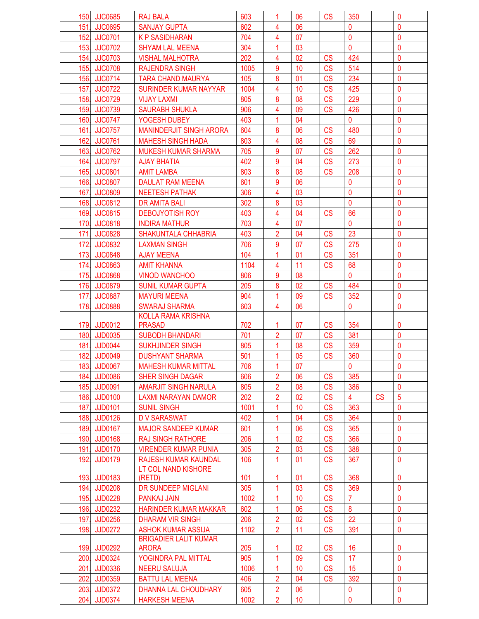|      | 150. JJC0685   | <b>RAJ BALA</b>                              | 603  | 1                       | 06       | <b>CS</b> | 350            |    | 0              |
|------|----------------|----------------------------------------------|------|-------------------------|----------|-----------|----------------|----|----------------|
|      | 151. JJC0695   | <b>SANJAY GUPTA</b>                          | 602  | 4                       | 06       |           | $\mathbf{0}$   |    | $\mathbf 0$    |
|      | 152. JJC0701   | <b>KP SASIDHARAN</b>                         | 704  | 4                       | 07       |           | $\mathbf 0$    |    | $\mathbf 0$    |
|      | 153. JJC0702   | <b>SHYAM LAL MEENA</b>                       | 304  | 1                       | 03       |           | $\mathbf{0}$   |    | $\overline{0}$ |
| 154. | <b>JJC0703</b> | <b>VISHAL MALHOTRA</b>                       | 202  | 4                       | 02       | <b>CS</b> | 424            |    | 0              |
|      | 155. JJC0708   | <b>RAJENDRA SINGH</b>                        | 1005 | 9                       | 10       | <b>CS</b> | 514            |    | $\mathbf{0}$   |
|      | 156. JJC0714   | <b>TARA CHAND MAURYA</b>                     | 105  | 8                       | 01       | <b>CS</b> | 234            |    | $\mathbf{0}$   |
| 157. | <b>JJC0722</b> | <b>SURINDER KUMAR NAYYAR</b>                 | 1004 | 4                       | 10       | <b>CS</b> | 425            |    | $\mathbf 0$    |
|      | 158. JJC0729   | <b>VIJAY LAXMI</b>                           | 805  | 8                       | 08       | <b>CS</b> | 229            |    | $\mathbf 0$    |
|      | 159. JJC0739   | <b>SAURABH SHUKLA</b>                        | 906  | 4                       | 09       | CS        | 426            |    | $\mathbf{0}$   |
|      | 160. JJC0747   |                                              | 403  | 1                       | 04       |           | $\mathbf{0}$   |    | $\mathbf{0}$   |
|      |                | YOGESH DUBEY                                 |      |                         | 06       |           |                |    | $\mathbf{0}$   |
|      | 161. JJC0757   | <b>MANINDERJIT SINGH ARORA</b>               | 604  | 8                       |          | <b>CS</b> | 480            |    | $\mathbf 0$    |
| 162. | <b>JJC0761</b> | <b>MAHESH SINGH HADA</b>                     | 803  | 4                       | 08       | CS        | 69             |    |                |
| 163. | <b>JJC0762</b> | <b>MUKESH KUMAR SHARMA</b>                   | 705  | 9                       | 07       | <b>CS</b> | 262            |    | $\mathbf 0$    |
|      | 164. JJC0797   | <b>AJAY BHATIA</b>                           | 402  | 9                       | 04       | CS        | 273            |    | $\mathbf 0$    |
|      | 165. JJC0801   | <b>AMIT LAMBA</b>                            | 803  | 8                       | 08       | CS        | 208            |    | $\mathbf{0}$   |
|      | 166. JJC0807   | <b>DAULAT RAM MEENA</b>                      | 601  | 9                       | 06       |           | $\mathbf 0$    |    | $\mathbf 0$    |
| 167. | <b>JJC0809</b> | <b>NEETESH PATHAK</b>                        | 306  | 4                       | 03       |           | $\mathbf{0}$   |    | $\mathbf{0}$   |
|      | 168. JJC0812   | <b>DR AMITA BALI</b>                         | 302  | 8                       | 03       |           | $\mathbf 0$    |    | $\mathbf 0$    |
|      | 169. JJC0815   | <b>DEBOJYOTISH ROY</b>                       | 403  | 4                       | 04       | <b>CS</b> | 66             |    | $\mathbf 0$    |
|      | 170. JJC0818   | <b>INDIRA MATHUR</b>                         | 703  | 4                       | 07       |           | $\mathbf{0}$   |    | $\mathbf{0}$   |
|      | 171. JJC0828   | <b>SHAKUNTALA CHHABRIA</b>                   | 403  | $\overline{2}$          | 04       | CS        | 23             |    | $\mathbf 0$    |
| 172. | <b>JJC0832</b> | <b>LAXMAN SINGH</b>                          | 706  | 9                       | 07       | CS        | 275            |    | $\mathbf{0}$   |
| 173. | <b>JJC0848</b> | <b>AJAY MEENA</b>                            | 104  | $\overline{1}$          | 01       | CS        | 351            |    | $\mathbf 0$    |
| 174. | <b>JJC0863</b> | <b>AMIT KHANNA</b>                           | 1104 | 4                       | 11       | CS        | 68             |    | $\mathbf 0$    |
|      | 175. JJC0868   | <b>VINOD WANCHOO</b>                         | 806  | 9                       | 08       |           | $\mathbf 0$    |    | $\mathbf{0}$   |
|      | 176. JJC0879   | <b>SUNIL KUMAR GUPTA</b>                     | 205  | 8                       | 02       | CS        | 484            |    | $\mathbf 0$    |
| 177. | <b>JJC0887</b> | <b>MAYURI MEENA</b>                          | 904  | 1                       | 09       | <b>CS</b> | 352            |    | $\mathbf 0$    |
| 178. | <b>JJC0888</b> | <b>SWARAJ SHARMA</b>                         | 603  | 4                       | 06       |           | $\mathbf{0}$   |    | $\mathbf 0$    |
|      |                | <b>KOLLA RAMA KRISHNA</b>                    |      |                         |          |           |                |    |                |
|      | 179. JJD0012   | <b>PRASAD</b>                                | 702  | 1                       | 07       | <b>CS</b> | 354            |    | 0              |
|      | 180. JJD0035   | <b>SUBODH BHANDARI</b>                       | 701  | $\overline{\mathbf{c}}$ | 07       | <b>CS</b> | 381            |    | $\mathbf 0$    |
|      | 181. JJD0044   | <b>SUKHJINDER SINGH</b>                      | 805  | 1                       | 08       | <b>CS</b> | 359            |    | $\mathbf{0}$   |
|      | 182. JJD0049   | <b>DUSHYANT SHARMA</b>                       | 501  | 1                       | 05       | <b>CS</b> | 360            |    | $\mathbf{0}$   |
|      | 183. JJD0067   | <b>MAHESH KUMAR MITTAL</b>                   | 706  | 1                       | 07       |           | $\mathbf 0$    |    | 0              |
| 184. | <b>JJD0086</b> | <b>SHER SINGH DAGAR</b>                      | 606  | $\overline{2}$          | 06       | <b>CS</b> | 385            |    | 0              |
|      | 185. JJD0091   | <b>AMARJIT SINGH NARULA</b>                  | 805  | 2                       | 08       | <b>CS</b> | 386            |    | $\mathbf{0}$   |
|      | 186. JJD0100   | <b>LAXMI NARAYAN DAMOR</b>                   | 202  | $\overline{\mathbf{c}}$ | 02       | CS        | $\overline{4}$ | CS | $\overline{5}$ |
| 187. | <b>JJD0101</b> | <b>SUNIL SINGH</b>                           | 1001 | 1                       | 10       | CS        | 363            |    | $\mathbf{0}$   |
|      | 188. JJD0126   | <b>DV SARASWAT</b>                           | 402  | 1                       | 04       | <b>CS</b> | 364            |    | $\mathbf{0}$   |
|      | 189. JJD0167   | <b>MAJOR SANDEEP KUMAR</b>                   | 601  | 1                       | 06       | CS        | 365            |    | $\mathbf 0$    |
|      | 190. JJD0168   | <b>RAJ SINGH RATHORE</b>                     | 206  | 1                       | 02       | <b>CS</b> | 366            |    | $\mathbf{0}$   |
|      | 191. JJD0170   | <b>VIRENDER KUMAR PUNIA</b>                  | 305  | $\overline{\mathbf{c}}$ | 03       | CS        | 388            |    | $\mathbf{0}$   |
| 192. | <b>JJD0179</b> | RAJESH KUMAR KAUNDAL                         | 106  | 1                       | 01       | CS        | 367            |    | $\mathbf 0$    |
|      |                | LT COL NAND KISHORE                          |      |                         |          |           |                |    |                |
|      | 193. JJD0183   | (RETD)                                       | 101  | 1                       | 01       | CS        | 368            |    | 0              |
|      | 194. JJD0208   | DR SUNDEEP MIGLANI                           | 305  | 1                       | 03       | <b>CS</b> | 369            |    | $\mathbf{0}$   |
|      | 195. JJD0228   |                                              | 1002 | 1                       |          | CS        | $\overline{7}$ |    | $\mathbf{0}$   |
|      | 196. JJD0232   | PANKAJ JAIN<br><b>HARINDER KUMAR MAKKAR</b>  | 602  | 1                       | 10<br>06 | CS        | 8              |    | $\mathbf 0$    |
|      |                |                                              |      |                         |          |           |                |    |                |
|      | 197. JJD0256   | <b>DHARAM VIR SINGH</b>                      | 206  | 2                       | 02       | <b>CS</b> | 22             |    | 0              |
|      | 198. JJD0272   | <b>ASHOK KUMAR ASSIJA</b>                    | 1102 | $\overline{2}$          | 11       | CS        | 391            |    | $\mathbf 0$    |
|      | 199. JJD0292   | <b>BRIGADIER LALIT KUMAR</b><br><b>ARORA</b> | 205  | 1                       | 02       | <b>CS</b> | 16             |    | 0              |
|      |                |                                              | 905  | 1                       | 09       | <b>CS</b> | 17             |    | $\mathbf{0}$   |
|      | 200. JJD0324   | YOGINDRA PAL MITTAL                          |      |                         |          |           |                |    |                |
| 201. | JJD0336        | <b>NEERU SALUJA</b>                          | 1006 | 1                       | 10       | <b>CS</b> | 15             |    | 0              |
|      | 202. JJD0359   | <b>BATTU LAL MEENA</b>                       | 406  | $\overline{2}$          | 04       | CS        | 392            |    | $\mathbf 0$    |
|      | 203. JJD0372   | DHANNA LAL CHOUDHARY                         | 605  | $\overline{2}$          | 06       |           | $\mathbf 0$    |    | $\mathbf 0$    |
|      | 204. JJD0374   | <b>HARKESH MEENA</b>                         | 1002 | $\overline{2}$          | 10       |           | 0              |    | $\mathbf{0}$   |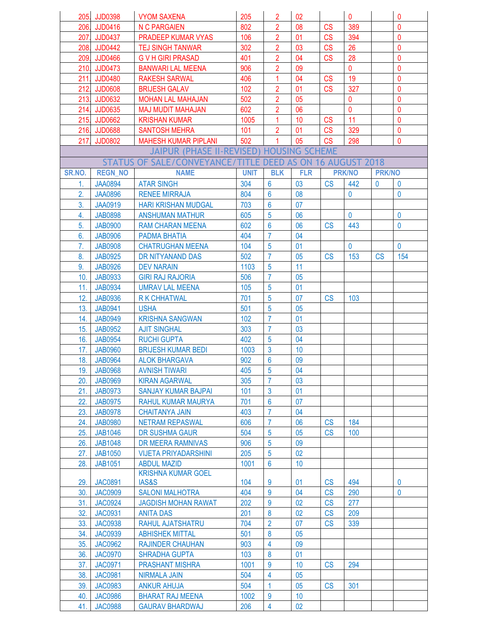|          | 205. JJD0398   | <b>VYOM SAXENA</b>                                   | 205         | $\overline{2}$                   | 02                              |           | $\mathbf 0$    |               | $\mathbf{0}$ |
|----------|----------------|------------------------------------------------------|-------------|----------------------------------|---------------------------------|-----------|----------------|---------------|--------------|
|          | 206. JJD0416   | <b>N C PARGAIEN</b>                                  | 802         | $\overline{\mathbf{c}}$          | 08                              | <b>CS</b> | 389            |               | $\mathbf 0$  |
|          | 207. JJD0437   | PRADEEP KUMAR VYAS                                   | 106         | $\overline{2}$                   | 01                              | <b>CS</b> | 394            |               | $\mathbf{0}$ |
|          | 208. JJD0442   | <b>TEJ SINGH TANWAR</b>                              | 302         | $\overline{2}$                   | 03                              | <b>CS</b> | 26             |               | $\mathbf{0}$ |
|          | 209. JJD0466   | <b>GVH GIRI PRASAD</b>                               | 401         | $\overline{2}$                   | 04                              | <b>CS</b> | 28             |               | $\mathbf{0}$ |
|          | 210. JJD0473   | <b>BANWARI LAL MEENA</b>                             | 906         | $\overline{2}$                   | 09                              |           | $\overline{0}$ |               | $\mathbf{0}$ |
| 211.     | JJD0480        | <b>RAKESH SARWAL</b>                                 | 406         | 1                                | 04                              | <b>CS</b> | 19             |               | $\mathbf 0$  |
|          | 212. JJD0608   | <b>BRIJESH GALAV</b>                                 | 102         | $\overline{2}$                   | 01                              | <b>CS</b> | 327            |               | $\mathbf{0}$ |
|          | 213. JJD0632   | <b>MOHAN LAL MAHAJAN</b>                             | 502         | $\overline{2}$                   | 05                              |           | $\overline{0}$ |               | $\mathbf 0$  |
|          | 214. JJD0635   | <b>MAJ MUDIT MAHAJAN</b>                             | 602         | $\overline{2}$                   | 06                              |           | $\mathbf 0$    |               | $\mathbf{0}$ |
|          | 215. JJD0662   | <b>KRISHAN KUMAR</b>                                 | 1005        | 1                                | 10                              | <b>CS</b> | 11             |               | $\mathbf{0}$ |
|          | 216. JJD0688   | <b>SANTOSH MEHRA</b>                                 | 101         | $\overline{2}$                   | 01                              | CS        | 329            |               | $\mathbf{0}$ |
| 217.     | <b>JJD0802</b> | <b>MAHESH KUMAR PIPLANI</b>                          | 502         | 1                                | 05                              | <b>CS</b> | 298            |               | $\mathbf{0}$ |
|          |                | JAIPUR (PHASE II-REVISED) HOUSING SCHEME             |             |                                  |                                 |           |                |               |              |
|          |                | <b>STATUS OF SALE/CONVEYANCE/</b>                    |             |                                  | TITLE DEED AS ON 16 AUGUST 2018 |           |                |               |              |
| SR.NO.   | <b>REGN_NO</b> | <b>NAME</b>                                          | <b>UNIT</b> | <b>BLK</b>                       | <b>FLR</b>                      |           | <b>PRK/NO</b>  | <b>PRK/NO</b> |              |
|          | <b>JAA0894</b> | <b>ATAR SINGH</b>                                    | 304         | $6\phantom{1}6$                  | 03                              | <b>CS</b> | 442            | $\mathbf{0}$  | $\mathbf 0$  |
| 1.<br>2. | <b>JAA0896</b> | <b>RENEE MIRRAJA</b>                                 | 804         | $6\phantom{1}6$                  | 08                              |           | $\mathbf 0$    |               | $\mathbf{0}$ |
| 3.       | <b>JAA0919</b> |                                                      | 703         | $6\phantom{1}6$                  | 07                              |           |                |               |              |
| 4.       | <b>JAB0898</b> | <b>HARI KRISHAN MUDGAL</b><br><b>ANSHUMAN MATHUR</b> | 605         | $\overline{5}$                   | 06                              |           | $\overline{0}$ |               | $\mathbf{0}$ |
| 5.       |                |                                                      | 602         | $6\phantom{1}6$                  | 06                              | <b>CS</b> | 443            |               | $\mathbf 0$  |
|          | <b>JAB0900</b> | <b>RAM CHARAN MEENA</b>                              |             | $\overline{7}$                   | 04                              |           |                |               |              |
| 6.       | <b>JAB0906</b> | PADMA BHATIA                                         | 404         |                                  |                                 |           |                |               |              |
| 7.       | <b>JAB0908</b> | <b>CHATRUGHAN MEENA</b>                              | 104         | $\overline{5}$<br>$\overline{7}$ | 01                              |           | 0              |               | $\mathbf 0$  |
| 8.       | <b>JAB0925</b> | DR NITYANAND DAS                                     | 502         |                                  | 05                              | <b>CS</b> | 153            | <b>CS</b>     | 154          |
| 9.       | <b>JAB0926</b> | <b>DEV NARAIN</b>                                    | 1103        | $\overline{5}$<br>$\overline{7}$ | 11                              |           |                |               |              |
| 10.      | <b>JAB0933</b> | <b>GIRI RAJ RAJORIA</b>                              | 506         | 5                                | 05                              |           |                |               |              |
| 11.      | <b>JAB0934</b> | <b>UMRAV LAL MEENA</b>                               | 105         |                                  | 01                              |           |                |               |              |
| 12.      | <b>JAB0936</b> | <b>R K CHHATWAL</b>                                  | 701         | 5                                | 07                              | <b>CS</b> | 103            |               |              |
| 13.      | <b>JAB0941</b> | <b>USHA</b>                                          | 501         | $\overline{5}$<br>$\overline{7}$ | 05                              |           |                |               |              |
| 14.      | <b>JAB0949</b> | <b>KRISHNA SANGWAN</b>                               | 102         |                                  | 01                              |           |                |               |              |
| 15.      | <b>JAB0952</b> | <b>AJIT SINGHAL</b>                                  | 303         | $\overline{7}$                   | 03                              |           |                |               |              |
| 16.      | <b>JAB0954</b> | <b>RUCHI GUPTA</b>                                   | 402         | $5\phantom{.0}$                  | 04                              |           |                |               |              |
| 17.      | <b>JAB0960</b> | <b>BRIJESH KUMAR BEDI</b>                            | 1003        | $\mathbf{3}$                     | 10                              |           |                |               |              |
|          | 18. JAB0964    | <b>ALOK BHARGAVA</b>                                 | 902         | $6\phantom{a}$                   | 09                              |           |                |               |              |
| 19.      | <b>JAB0968</b> | <b>AVNISH TIWARI</b>                                 | 405         | 5                                | 04                              |           |                |               |              |
| 20.      | <b>JAB0969</b> | <b>KIRAN AGARWAL</b>                                 | 305         | $\overline{7}$                   | 03                              |           |                |               |              |
| 21.      | <b>JAB0973</b> | SANJAY KUMAR BAJPAI                                  | 101         | $\mathbf{3}$                     | 01                              |           |                |               |              |
| 22.      | <b>JAB0975</b> | <b>RAHUL KUMAR MAURYA</b>                            | 701         | $6\phantom{1}6$                  | 07                              |           |                |               |              |
| 23.      | <b>JAB0978</b> | <b>CHAITANYA JAIN</b>                                | 403         | $\overline{7}$                   | 04                              |           |                |               |              |
| 24.      | <b>JAB0980</b> | <b>NETRAM REPASWAL</b>                               | 606         | $\overline{7}$                   | 06                              | CS        | 184            |               |              |
| 25.      | <b>JAB1046</b> | DR SUSHMA GAUR                                       | 504         | 5                                | 05                              | CS        | 100            |               |              |
| 26.      | <b>JAB1048</b> | DR MEERA RAMNIVAS                                    | 906         | 5                                | 09                              |           |                |               |              |
| 27.      | <b>JAB1050</b> | <b>VIJETA PRIYADARSHINI</b>                          | 205         | $5\phantom{.0}$                  | 02                              |           |                |               |              |
| 28.      | <b>JAB1051</b> | <b>ABDUL MAZID</b><br><b>KRISHNA KUMAR GOEL</b>      | 1001        | $6\phantom{1}6$                  | 10                              |           |                |               |              |
| 29.      | <b>JAC0891</b> | <b>IAS&amp;S</b>                                     | 104         | 9                                | 01                              | <b>CS</b> | 494            |               | $\bf{0}$     |
| 30.      | <b>JAC0909</b> | <b>SALONI MALHOTRA</b>                               | 404         | 9                                | 04                              | CS        | 290            |               | $\bf{0}$     |
| 31.      | <b>JAC0924</b> | <b>JAGDISH MOHAN RAWAT</b>                           | 202         | 9                                | 02                              | CS        | 277            |               |              |
| 32.      | <b>JAC0931</b> | <b>ANITA DAS</b>                                     | 201         | 8                                | 02                              | CS        | 209            |               |              |
| 33.      | <b>JAC0938</b> | RAHUL AJATSHATRU                                     | 704         | $\overline{2}$                   | 07                              | CS        | 339            |               |              |
| 34.      | <b>JAC0939</b> | <b>ABHISHEK MITTAL</b>                               | 501         | 8                                | 05                              |           |                |               |              |
| 35.      | <b>JAC0962</b> | <b>RAJINDER CHAUHAN</b>                              | 903         | $\overline{4}$                   | 09                              |           |                |               |              |
| 36.      | <b>JAC0970</b> | <b>SHRADHA GUPTA</b>                                 | 103         | 8                                | 01                              |           |                |               |              |
| 37.      | <b>JAC0971</b> | <b>PRASHANT MISHRA</b>                               | 1001        | 9                                | 10                              | CS        | 294            |               |              |
| 38.      | <b>JAC0981</b> | NIRMALA JAIN                                         | 504         | $\overline{4}$                   | 05                              |           |                |               |              |
| 39.      | <b>JAC0983</b> | <b>ANKUR AHUJA</b>                                   | 504         | $\mathbf{1}$                     | 05                              | CS        | 301            |               |              |
| 40.      | <b>JAC0986</b> | <b>BHARAT RAJ MEENA</b>                              | 1002        | 9                                | 10 <sup>°</sup>                 |           |                |               |              |
| 41.      | <b>JAC0988</b> | <b>GAURAV BHARDWAJ</b>                               | 206         | $\overline{4}$                   | 02                              |           |                |               |              |
|          |                |                                                      |             |                                  |                                 |           |                |               |              |